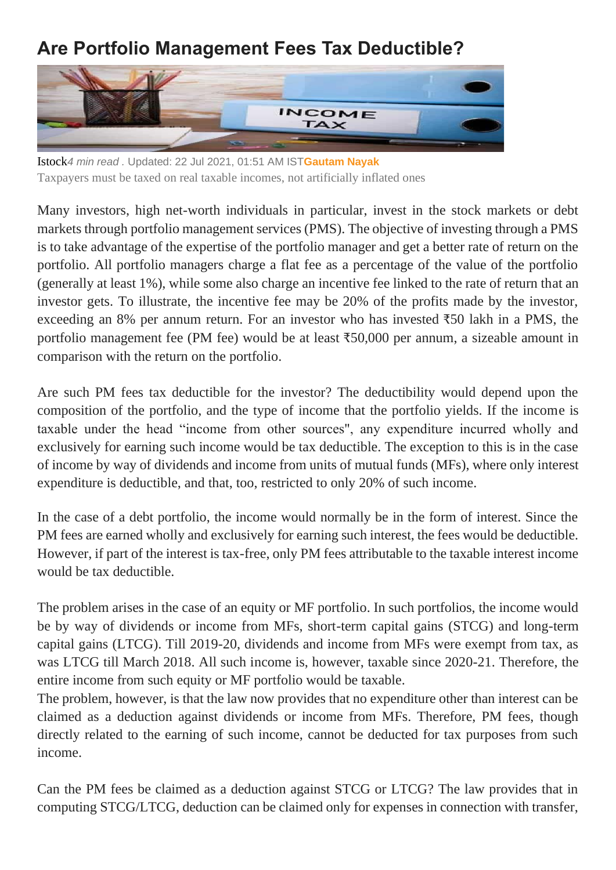## **Are Portfolio Management Fees Tax Deductible?**



Istock*4 min read .* Updated: 22 Jul 2021, 01:51 AM IST**[Gautam Nayak](https://www.livemint.com/Search/Link/Author/Gautam-Nayak)** Taxpayers must be taxed on real taxable incomes, not artificially inflated ones

Many investors, high net-worth individuals in particular, invest in the stock markets or debt markets through portfolio management services (PMS). The objective of investing through a PMS is to take advantage of the expertise of the portfolio manager and get a better rate of return on the portfolio. All portfolio managers charge a flat fee as a percentage of the value of the portfolio (generally at least 1%), while some also charge an incentive fee linked to the rate of return that an investor gets. To illustrate, the incentive fee may be 20% of the profits made by the investor, exceeding an 8% per annum return. For an investor who has invested ₹50 lakh in a PMS, the portfolio management fee (PM fee) would be at least ₹50,000 per annum, a sizeable amount in comparison with the return on the portfolio.

Are such PM fees tax deductible for the investor? The deductibility would depend upon the composition of the portfolio, and the type of income that the portfolio yields. If the income is taxable under the head "income from other sources", any expenditure incurred wholly and exclusively for earning such income would be tax deductible. The exception to this is in the case of income by way of dividends and income from units of mutual funds (MFs), where only interest expenditure is deductible, and that, too, restricted to only 20% of such income.

In the case of a debt portfolio, the income would normally be in the form of interest. Since the PM fees are earned wholly and exclusively for earning such interest, the fees would be deductible. However, if part of the interest is tax-free, only PM fees attributable to the taxable interest income would be tax deductible.

The problem arises in the case of an equity or MF portfolio. In such portfolios, the income would be by way of dividends or income from MFs, short-term capital gains (STCG) and long-term capital gains (LTCG). Till 2019-20, dividends and income from MFs were exempt from tax, as was LTCG till March 2018. All such income is, however, taxable since 2020-21. Therefore, the entire income from such equity or MF portfolio would be taxable.

The problem, however, is that the law now provides that no expenditure other than interest can be claimed as a deduction against dividends or income from MFs. Therefore, PM fees, though directly related to the earning of such income, cannot be deducted for tax purposes from such income.

Can the PM fees be claimed as a deduction against STCG or LTCG? The law provides that in computing STCG/LTCG, deduction can be claimed only for expenses in connection with transfer,